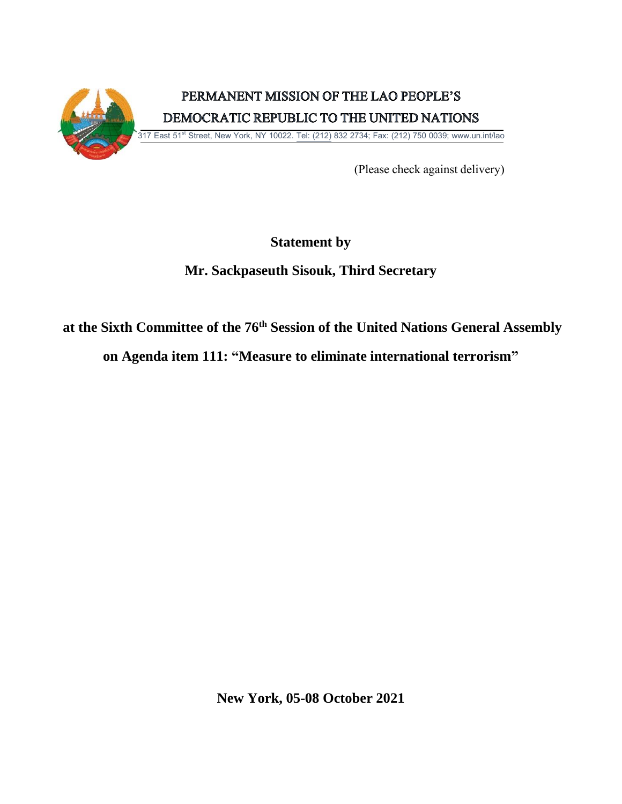

(Please check against delivery)

## **Statement by**

# **Mr. Sackpaseuth Sisouk, Third Secretary**

## **at the Sixth Committee of the 76 th Session of the United Nations General Assembly**

**on Agenda item 111: "Measure to eliminate international terrorism"** 

**New York, 05-08 October 2021**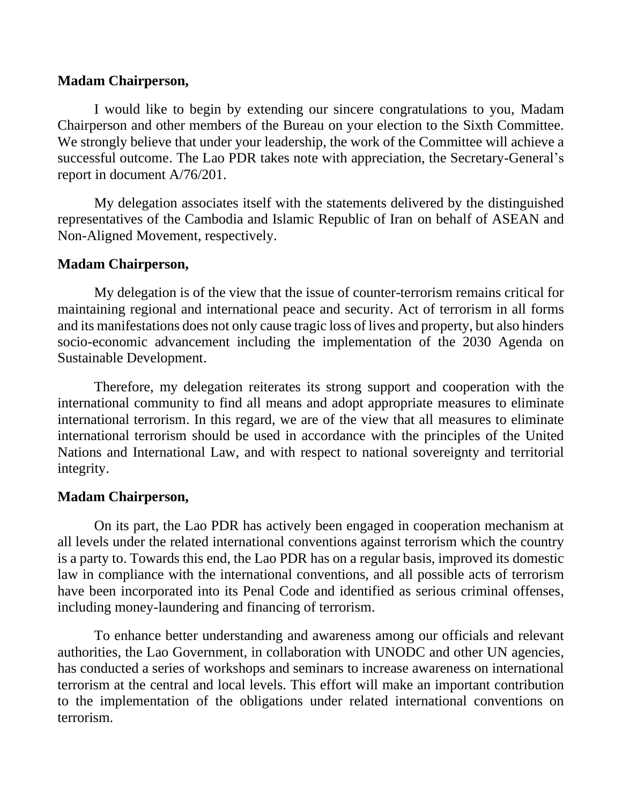#### **Madam Chairperson,**

I would like to begin by extending our sincere congratulations to you, Madam Chairperson and other members of the Bureau on your election to the Sixth Committee. We strongly believe that under your leadership, the work of the Committee will achieve a successful outcome. The Lao PDR takes note with appreciation, the Secretary-General's report in document A/76/201.

My delegation associates itself with the statements delivered by the distinguished representatives of the Cambodia and Islamic Republic of Iran on behalf of ASEAN and Non-Aligned Movement, respectively.

## **Madam Chairperson,**

My delegation is of the view that the issue of counter-terrorism remains critical for maintaining regional and international peace and security. Act of terrorism in all forms and its manifestations does not only cause tragic loss of lives and property, but also hinders socio-economic advancement including the implementation of the 2030 Agenda on Sustainable Development.

Therefore, my delegation reiterates its strong support and cooperation with the international community to find all means and adopt appropriate measures to eliminate international terrorism. In this regard, we are of the view that all measures to eliminate international terrorism should be used in accordance with the principles of the United Nations and International Law, and with respect to national sovereignty and territorial integrity.

### **Madam Chairperson,**

On its part, the Lao PDR has actively been engaged in cooperation mechanism at all levels under the related international conventions against terrorism which the country is a party to. Towards this end, the Lao PDR has on a regular basis, improved its domestic law in compliance with the international conventions, and all possible acts of terrorism have been incorporated into its Penal Code and identified as serious criminal offenses, including money-laundering and financing of terrorism.

To enhance better understanding and awareness among our officials and relevant authorities, the Lao Government, in collaboration with UNODC and other UN agencies, has conducted a series of workshops and seminars to increase awareness on international terrorism at the central and local levels. This effort will make an important contribution to the implementation of the obligations under related international conventions on terrorism.